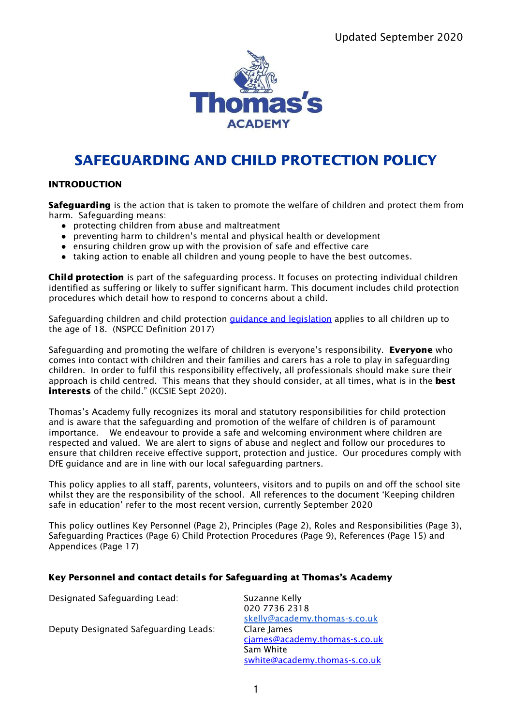

# SAFEGUARDING AND CHILD PROTECTION POLICY

# INTRODUCTION

Safeguarding is the action that is taken to promote the welfare of children and protect them from harm. Safeguarding means:

- protecting children from abuse and maltreatment
- preventing harm to children's mental and physical health or development
- ensuring children grow up with the provision of safe and effective care
- taking action to enable all children and young people to have the best outcomes.

Child protection is part of the safeguarding process. It focuses on protecting individual children identified as suffering or likely to suffer significant harm. This document includes child protection procedures which detail how to respond to concerns about a child.

Safeguarding children and child protection guidance and [legislation](https://www.nspcc.org.uk/preventing-abuse/child-protection-system/) applies to all children up to the age of 18. (NSPCC Definition 2017)

Safeguarding and promoting the welfare of children is everyone's responsibility. **Everyone** who comes into contact with children and their families and carers has a role to play in safeguarding children. In order to fulfil this responsibility effectively, all professionals should make sure their approach is child centred. This means that they should consider, at all times, what is in the **best** interests of the child." (KCSIE Sept 2020).

Thomas's Academy fully recognizes its moral and statutory responsibilities for child protection and is aware that the safeguarding and promotion of the welfare of children is of paramount importance. We endeavour to provide a safe and welcoming environment where children are respected and valued. We are alert to signs of abuse and neglect and follow our procedures to ensure that children receive effective support, protection and justice. Our procedures comply with DfE guidance and are in line with our local safeguarding partners.

This policy applies to all staff, parents, volunteers, visitors and to pupils on and off the school site whilst they are the responsibility of the school. All references to the document 'Keeping children safe in education' refer to the most recent version, currently September 2020

This policy outlines Key Personnel (Page 2), Principles (Page 2), Roles and Responsibilities (Page 3), Safeguarding Practices (Page 6) Child Protection Procedures (Page 9), References (Page 15) and Appendices (Page 17)

# Key Personnel and contact details for Safeguarding at Thomas's Academy

| Designated Safeguarding Lead:         | Suzanne Kelly                 |
|---------------------------------------|-------------------------------|
|                                       | 020 7736 2318                 |
|                                       | skelly@academy.thomas-s.co.uk |
| Deputy Designated Safeguarding Leads: | Clare James                   |
|                                       | ciames@academy.thomas-s.co.uk |
|                                       | Sam White                     |
|                                       | swhite@academy.thomas-s.co.uk |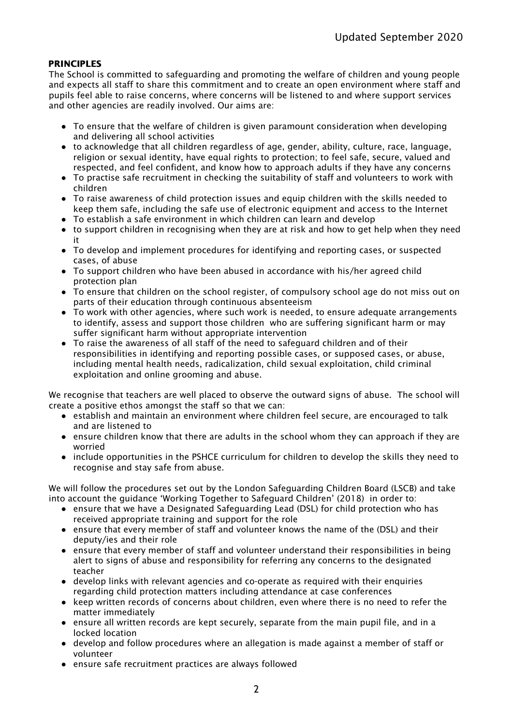# **PRINCIPLES**

The School is committed to safeguarding and promoting the welfare of children and young people and expects all staff to share this commitment and to create an open environment where staff and pupils feel able to raise concerns, where concerns will be listened to and where support services and other agencies are readily involved. Our aims are:

- To ensure that the welfare of children is given paramount consideration when developing and delivering all school activities
- to acknowledge that all children regardless of age, gender, ability, culture, race, language, religion or sexual identity, have equal rights to protection; to feel safe, secure, valued and respected, and feel confident, and know how to approach adults if they have any concerns
- To practise safe recruitment in checking the suitability of staff and volunteers to work with children
- To raise awareness of child protection issues and equip children with the skills needed to keep them safe, including the safe use of electronic equipment and access to the Internet
- To establish a safe environment in which children can learn and develop
- to support children in recognising when they are at risk and how to get help when they need it
- To develop and implement procedures for identifying and reporting cases, or suspected cases, of abuse
- To support children who have been abused in accordance with his/her agreed child protection plan
- To ensure that children on the school register, of compulsory school age do not miss out on parts of their education through continuous absenteeism
- To work with other agencies, where such work is needed, to ensure adequate arrangements to identify, assess and support those children who are suffering significant harm or may suffer significant harm without appropriate intervention
- To raise the awareness of all staff of the need to safeguard children and of their responsibilities in identifying and reporting possible cases, or supposed cases, or abuse, including mental health needs, radicalization, child sexual exploitation, child criminal exploitation and online grooming and abuse.

We recognise that teachers are well placed to observe the outward signs of abuse. The school will create a positive ethos amongst the staff so that we can:

- establish and maintain an environment where children feel secure, are encouraged to talk and are listened to
- ensure children know that there are adults in the school whom they can approach if they are worried
- include opportunities in the PSHCE curriculum for children to develop the skills they need to recognise and stay safe from abuse.

We will follow the procedures set out by the London Safeguarding Children Board (LSCB) and take into account the guidance 'Working Together to Safeguard Children' (2018) in order to:

- ensure that we have a Designated Safeguarding Lead (DSL) for child protection who has received appropriate training and support for the role
- ensure that every member of staff and volunteer knows the name of the (DSL) and their deputy/ies and their role
- ensure that every member of staff and volunteer understand their responsibilities in being alert to signs of abuse and responsibility for referring any concerns to the designated teacher
- develop links with relevant agencies and co-operate as required with their enquiries regarding child protection matters including attendance at case conferences
- keep written records of concerns about children, even where there is no need to refer the matter immediately
- ensure all written records are kept securely, separate from the main pupil file, and in a locked location
- develop and follow procedures where an allegation is made against a member of staff or volunteer
- ensure safe recruitment practices are always followed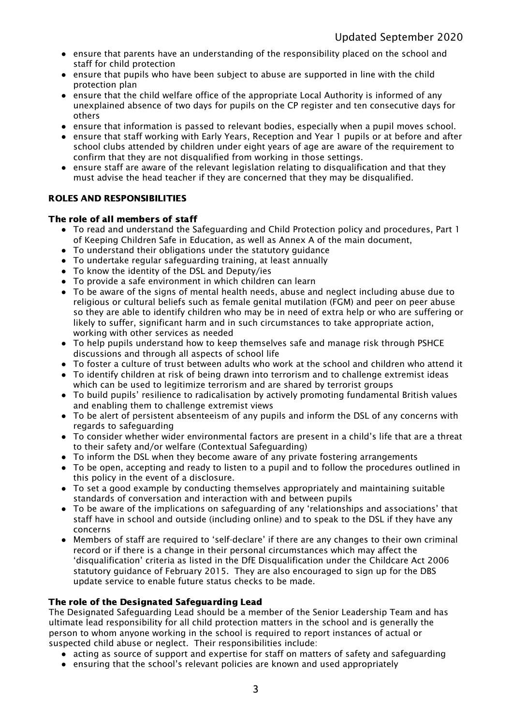- ensure that parents have an understanding of the responsibility placed on the school and staff for child protection
- ensure that pupils who have been subject to abuse are supported in line with the child protection plan
- ensure that the child welfare office of the appropriate Local Authority is informed of any unexplained absence of two days for pupils on the CP register and ten consecutive days for others
- ensure that information is passed to relevant bodies, especially when a pupil moves school.
- ensure that staff working with Early Years, Reception and Year 1 pupils or at before and after school clubs attended by children under eight years of age are aware of the requirement to confirm that they are not disqualified from working in those settings.
- ensure staff are aware of the relevant legislation relating to disqualification and that they must advise the head teacher if they are concerned that they may be disqualified.

# ROLES AND RESPONSIBILITIES

## The role of all members of staff

- To read and understand the Safeguarding and Child Protection policy and procedures, Part 1 of Keeping Children Safe in Education, as well as Annex A of the main document,
- To understand their obligations under the statutory guidance
- To undertake regular safeguarding training, at least annually
- To know the identity of the DSL and Deputy/ies
- To provide a safe environment in which children can learn
- To be aware of the signs of mental health needs, abuse and neglect including abuse due to religious or cultural beliefs such as female genital mutilation (FGM) and peer on peer abuse so they are able to identify children who may be in need of extra help or who are suffering or likely to suffer, significant harm and in such circumstances to take appropriate action, working with other services as needed
- To help pupils understand how to keep themselves safe and manage risk through PSHCE discussions and through all aspects of school life
- To foster a culture of trust between adults who work at the school and children who attend it
- To identify children at risk of being drawn into terrorism and to challenge extremist ideas which can be used to legitimize terrorism and are shared by terrorist groups
- To build pupils' resilience to radicalisation by actively promoting fundamental British values and enabling them to challenge extremist views
- To be alert of persistent absenteeism of any pupils and inform the DSL of any concerns with regards to safeguarding
- To consider whether wider environmental factors are present in a child's life that are a threat to their safety and/or welfare (Contextual Safeguarding)
- To inform the DSL when they become aware of any private fostering arrangements
- To be open, accepting and ready to listen to a pupil and to follow the procedures outlined in this policy in the event of a disclosure.
- To set a good example by conducting themselves appropriately and maintaining suitable standards of conversation and interaction with and between pupils
- To be aware of the implications on safeguarding of any 'relationships and associations' that staff have in school and outside (including online) and to speak to the DSL if they have any concerns
- Members of staff are required to 'self-declare' if there are any changes to their own criminal record or if there is a change in their personal circumstances which may affect the 'disqualification' criteria as listed in the DfE Disqualification under the Childcare Act 2006 statutory guidance of February 2015. They are also encouraged to sign up for the DBS update service to enable future status checks to be made.

#### The role of the Designated Safeguarding Lead

The Designated Safeguarding Lead should be a member of the Senior Leadership Team and has ultimate lead responsibility for all child protection matters in the school and is generally the person to whom anyone working in the school is required to report instances of actual or suspected child abuse or neglect. Their responsibilities include:

- acting as source of support and expertise for staff on matters of safety and safeguarding
- ensuring that the school's relevant policies are known and used appropriately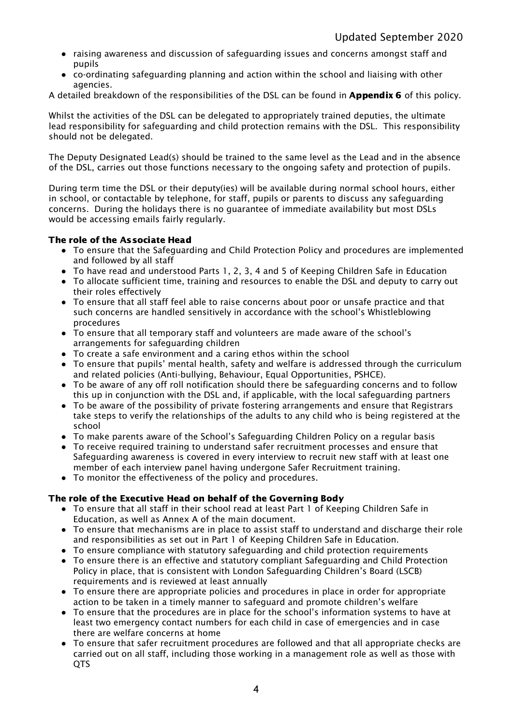- raising awareness and discussion of safeguarding issues and concerns amongst staff and pupils
- co-ordinating safeguarding planning and action within the school and liaising with other agencies.

A detailed breakdown of the responsibilities of the DSL can be found in **Appendix 6** of this policy.

Whilst the activities of the DSL can be delegated to appropriately trained deputies, the ultimate lead responsibility for safeguarding and child protection remains with the DSL. This responsibility should not be delegated.

The Deputy Designated Lead(s) should be trained to the same level as the Lead and in the absence of the DSL, carries out those functions necessary to the ongoing safety and protection of pupils.

During term time the DSL or their deputy(ies) will be available during normal school hours, either in school, or contactable by telephone, for staff, pupils or parents to discuss any safeguarding concerns. During the holidays there is no guarantee of immediate availability but most DSLs would be accessing emails fairly regularly.

# The role of the Associate Head

- To ensure that the Safeguarding and Child Protection Policy and procedures are implemented and followed by all staff
- To have read and understood Parts 1, 2, 3, 4 and 5 of Keeping Children Safe in Education
- To allocate sufficient time, training and resources to enable the DSL and deputy to carry out their roles effectively
- To ensure that all staff feel able to raise concerns about poor or unsafe practice and that such concerns are handled sensitively in accordance with the school's Whistleblowing procedures
- To ensure that all temporary staff and volunteers are made aware of the school's arrangements for safeguarding children
- $\bullet$  To create a safe environment and a caring ethos within the school
- To ensure that pupils' mental health, safety and welfare is addressed through the curriculum and related policies (Anti-bullying, Behaviour, Equal Opportunities, PSHCE).
- To be aware of any off roll notification should there be safeguarding concerns and to follow this up in conjunction with the DSL and, if applicable, with the local safeguarding partners
- To be aware of the possibility of private fostering arrangements and ensure that Registrars take steps to verify the relationships of the adults to any child who is being registered at the school
- To make parents aware of the School's Safeguarding Children Policy on a regular basis
- To receive required training to understand safer recruitment processes and ensure that Safeguarding awareness is covered in every interview to recruit new staff with at least one member of each interview panel having undergone Safer Recruitment training.
- To monitor the effectiveness of the policy and procedures.

# The role of the Executive Head on behalf of the Governing Body

- To ensure that all staff in their school read at least Part 1 of Keeping Children Safe in Education, as well as Annex A of the main document.
- To ensure that mechanisms are in place to assist staff to understand and discharge their role and responsibilities as set out in Part 1 of Keeping Children Safe in Education.
- To ensure compliance with statutory safeguarding and child protection requirements
- To ensure there is an effective and statutory compliant Safeguarding and Child Protection Policy in place, that is consistent with London Safeguarding Children's Board (LSCB) requirements and is reviewed at least annually
- To ensure there are appropriate policies and procedures in place in order for appropriate action to be taken in a timely manner to safeguard and promote children's welfare
- To ensure that the procedures are in place for the school's information systems to have at least two emergency contact numbers for each child in case of emergencies and in case there are welfare concerns at home
- To ensure that safer recruitment procedures are followed and that all appropriate checks are carried out on all staff, including those working in a management role as well as those with QTS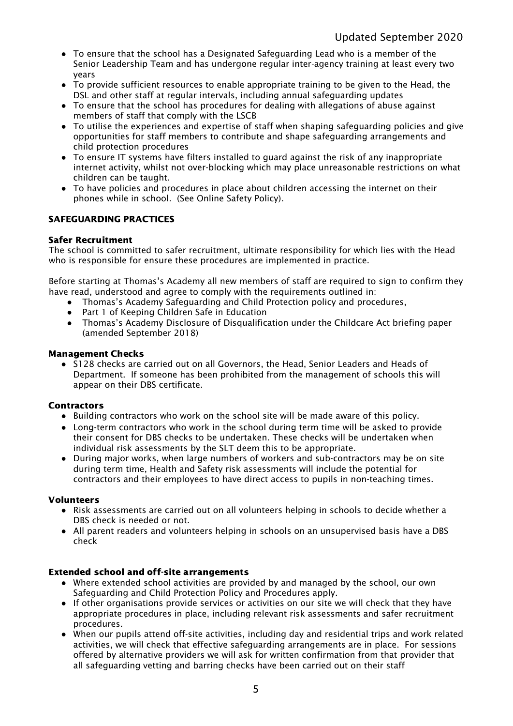- To ensure that the school has a Designated Safeguarding Lead who is a member of the Senior Leadership Team and has undergone regular inter-agency training at least every two years
- To provide sufficient resources to enable appropriate training to be given to the Head, the DSL and other staff at regular intervals, including annual safeguarding updates
- To ensure that the school has procedures for dealing with allegations of abuse against members of staff that comply with the LSCB
- To utilise the experiences and expertise of staff when shaping safeguarding policies and give opportunities for staff members to contribute and shape safeguarding arrangements and child protection procedures
- To ensure IT systems have filters installed to guard against the risk of any inappropriate internet activity, whilst not over-blocking which may place unreasonable restrictions on what children can be taught.
- To have policies and procedures in place about children accessing the internet on their phones while in school. (See Online Safety Policy).

# SAFEGUARDING PRACTICES

# Safer Recruitment

The school is committed to safer recruitment, ultimate responsibility for which lies with the Head who is responsible for ensure these procedures are implemented in practice.

Before starting at Thomas's Academy all new members of staff are required to sign to confirm they have read, understood and agree to comply with the requirements outlined in:

- Thomas's Academy Safeguarding and Child Protection policy and procedures,
- Part 1 of Keeping Children Safe in Education
- Thomas's Academy Disclosure of Disqualification under the Childcare Act briefing paper (amended September 2018)

## Management Checks

● S128 checks are carried out on all Governors, the Head, Senior Leaders and Heads of Department. If someone has been prohibited from the management of schools this will appear on their DBS certificate.

# **Contractors**

- Building contractors who work on the school site will be made aware of this policy.
- Long-term contractors who work in the school during term time will be asked to provide their consent for DBS checks to be undertaken. These checks will be undertaken when individual risk assessments by the SLT deem this to be appropriate.
- During major works, when large numbers of workers and sub-contractors may be on site during term time, Health and Safety risk assessments will include the potential for contractors and their employees to have direct access to pupils in non-teaching times.

#### Volunteers

- Risk assessments are carried out on all volunteers helping in schools to decide whether a DBS check is needed or not.
- All parent readers and volunteers helping in schools on an unsupervised basis have a DBS check

# Extended school and off-site arrangements

- Where extended school activities are provided by and managed by the school, our own Safeguarding and Child Protection Policy and Procedures apply.
- If other organisations provide services or activities on our site we will check that they have appropriate procedures in place, including relevant risk assessments and safer recruitment procedures.
- When our pupils attend off-site activities, including day and residential trips and work related activities, we will check that effective safeguarding arrangements are in place. For sessions offered by alternative providers we will ask for written confirmation from that provider that all safeguarding vetting and barring checks have been carried out on their staff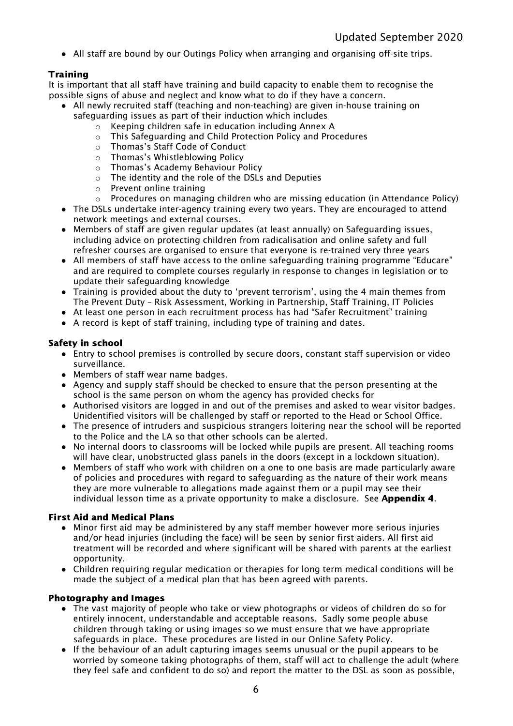● All staff are bound by our Outings Policy when arranging and organising off-site trips.

# **Training**

It is important that all staff have training and build capacity to enable them to recognise the possible signs of abuse and neglect and know what to do if they have a concern.

- All newly recruited staff (teaching and non-teaching) are given in-house training on
	- safeguarding issues as part of their induction which includes
		- o Keeping children safe in education including Annex A
		- o This Safeguarding and Child Protection Policy and Procedures
		- o Thomas's Staff Code of Conduct
		- o Thomas's Whistleblowing Policy
		- o Thomas's Academy Behaviour Policy
		- o The identity and the role of the DSLs and Deputies
		- o Prevent online training
		- $\circ$  Procedures on managing children who are missing education (in Attendance Policy)
- The DSLs undertake inter-agency training every two years. They are encouraged to attend network meetings and external courses.
- Members of staff are given regular updates (at least annually) on Safeguarding issues, including advice on protecting children from radicalisation and online safety and full refresher courses are organised to ensure that everyone is re-trained very three years
- All members of staff have access to the online safeguarding training programme "Educare" and are required to complete courses regularly in response to changes in legislation or to update their safeguarding knowledge
- Training is provided about the duty to 'prevent terrorism', using the 4 main themes from The Prevent Duty – Risk Assessment, Working in Partnership, Staff Training, IT Policies
- At least one person in each recruitment process has had "Safer Recruitment" training
- A record is kept of staff training, including type of training and dates.

# Safety in school

- Entry to school premises is controlled by secure doors, constant staff supervision or video surveillance.
- Members of staff wear name badges.
- Agency and supply staff should be checked to ensure that the person presenting at the school is the same person on whom the agency has provided checks for
- Authorised visitors are logged in and out of the premises and asked to wear visitor badges. Unidentified visitors will be challenged by staff or reported to the Head or School Office.
- The presence of intruders and suspicious strangers loitering near the school will be reported to the Police and the LA so that other schools can be alerted.
- No internal doors to classrooms will be locked while pupils are present. All teaching rooms will have clear, unobstructed glass panels in the doors (except in a lockdown situation).
- Members of staff who work with children on a one to one basis are made particularly aware of policies and procedures with regard to safeguarding as the nature of their work means they are more vulnerable to allegations made against them or a pupil may see their individual lesson time as a private opportunity to make a disclosure. See **Appendix 4**.

# First Aid and Medical Plans

- Minor first aid may be administered by any staff member however more serious injuries and/or head injuries (including the face) will be seen by senior first aiders. All first aid treatment will be recorded and where significant will be shared with parents at the earliest opportunity.
- Children requiring regular medication or therapies for long term medical conditions will be made the subject of a medical plan that has been agreed with parents.

# Photography and Images

- The vast majority of people who take or view photographs or videos of children do so for entirely innocent, understandable and acceptable reasons. Sadly some people abuse children through taking or using images so we must ensure that we have appropriate safeguards in place. These procedures are listed in our Online Safety Policy.
- If the behaviour of an adult capturing images seems unusual or the pupil appears to be worried by someone taking photographs of them, staff will act to challenge the adult (where they feel safe and confident to do so) and report the matter to the DSL as soon as possible,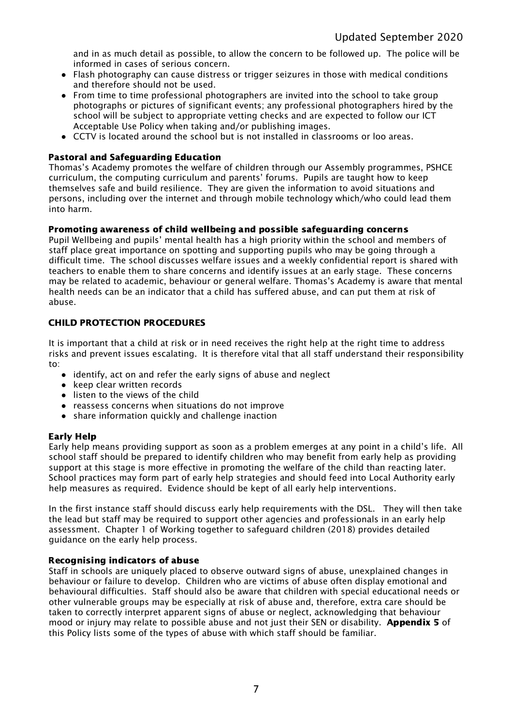and in as much detail as possible, to allow the concern to be followed up. The police will be informed in cases of serious concern.

- Flash photography can cause distress or trigger seizures in those with medical conditions and therefore should not be used.
- From time to time professional photographers are invited into the school to take group photographs or pictures of significant events; any professional photographers hired by the school will be subject to appropriate vetting checks and are expected to follow our ICT Acceptable Use Policy when taking and/or publishing images.
- CCTV is located around the school but is not installed in classrooms or loo areas.

# Pastoral and Safeguarding Education

Thomas's Academy promotes the welfare of children through our Assembly programmes, PSHCE curriculum, the computing curriculum and parents' forums. Pupils are taught how to keep themselves safe and build resilience. They are given the information to avoid situations and persons, including over the internet and through mobile technology which/who could lead them into harm.

## Promoting awareness of child wellbeing and possible safeguarding concerns

Pupil Wellbeing and pupils' mental health has a high priority within the school and members of staff place great importance on spotting and supporting pupils who may be going through a difficult time. The school discusses welfare issues and a weekly confidential report is shared with teachers to enable them to share concerns and identify issues at an early stage. These concerns may be related to academic, behaviour or general welfare. Thomas's Academy is aware that mental health needs can be an indicator that a child has suffered abuse, and can put them at risk of abuse.

# CHILD PROTECTION PROCEDURES

It is important that a child at risk or in need receives the right help at the right time to address risks and prevent issues escalating. It is therefore vital that all staff understand their responsibility to:

- identify, act on and refer the early signs of abuse and neglect
- keep clear written records
- listen to the views of the child
- reassess concerns when situations do not improve
- share information quickly and challenge inaction

#### Early Help

Early help means providing support as soon as a problem emerges at any point in a child's life. All school staff should be prepared to identify children who may benefit from early help as providing support at this stage is more effective in promoting the welfare of the child than reacting later. School practices may form part of early help strategies and should feed into Local Authority early help measures as required. Evidence should be kept of all early help interventions.

In the first instance staff should discuss early help requirements with the DSL. They will then take the lead but staff may be required to support other agencies and professionals in an early help assessment. Chapter 1 of Working together to safeguard children (2018) provides detailed guidance on the early help process.

## Recognising indicators of abuse

Staff in schools are uniquely placed to observe outward signs of abuse, unexplained changes in behaviour or failure to develop. Children who are victims of abuse often display emotional and behavioural difficulties. Staff should also be aware that children with special educational needs or other vulnerable groups may be especially at risk of abuse and, therefore, extra care should be taken to correctly interpret apparent signs of abuse or neglect, acknowledging that behaviour mood or injury may relate to possible abuse and not just their SEN or disability. Appendix 5 of this Policy lists some of the types of abuse with which staff should be familiar.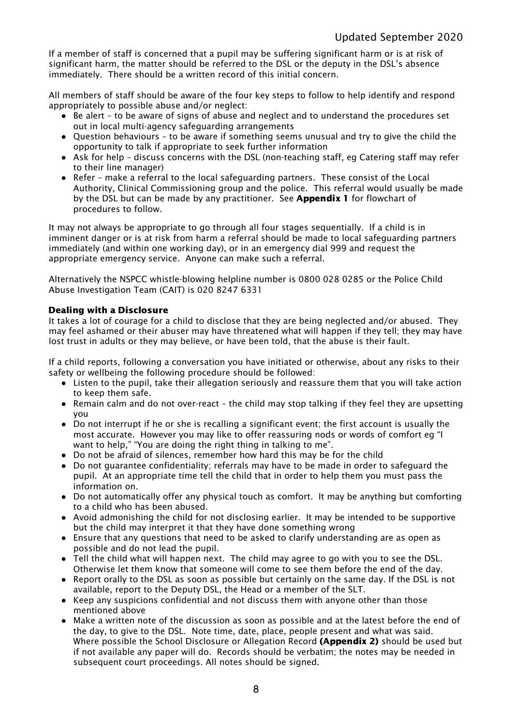If a member of staff is concerned that a pupil may be suffering significant harm or is at risk of significant harm, the matter should be referred to the DSL or the deputy in the DSL's absence immediately. There should be a written record of this initial concern.

All members of staff should be aware of the four key steps to follow to help identify and respond appropriately to possible abuse and/or neglect:

- Be alert to be aware of signs of abuse and neglect and to understand the procedures set out in local multi-agency safeguarding arrangements
- Question behaviours to be aware if something seems unusual and try to give the child the opportunity to talk if appropriate to seek further information
- Ask for help discuss concerns with the DSL (non-teaching staff, eg Catering staff may refer to their line manager)
- Refer make a referral to the local safeguarding partners. These consist of the Local Authority, Clinical Commissioning group and the police. This referral would usually be made by the DSL but can be made by any practitioner. See **Appendix 1** for flowchart of procedures to follow.

It may not always be appropriate to go through all four stages sequentially. If a child is in imminent danger or is at risk from harm a referral should be made to local safeguarding partners immediately (and within one working day), or in an emergency dial 999 and request the appropriate emergency service. Anyone can make such a referral.

Alternatively the NSPCC whistle-blowing helpline number is 0800 028 0285 or the Police Child Abuse Investigation Team (CAIT) is 020 8247 6331

# Dealing with a Disclosure

It takes a lot of courage for a child to disclose that they are being neglected and/or abused. They may feel ashamed or their abuser may have threatened what will happen if they tell; they may have lost trust in adults or they may believe, or have been told, that the abuse is their fault.

If a child reports, following a conversation you have initiated or otherwise, about any risks to their safety or wellbeing the following procedure should be followed:

- Listen to the pupil, take their allegation seriously and reassure them that you will take action to keep them safe.
- Remain calm and do not over-react the child may stop talking if they feel they are upsetting you
- Do not interrupt if he or she is recalling a significant event; the first account is usually the most accurate. However you may like to offer reassuring nods or words of comfort eg "I want to help," "You are doing the right thing in talking to me".
- Do not be afraid of silences, remember how hard this may be for the child
- Do not guarantee confidentiality; referrals may have to be made in order to safeguard the pupil. At an appropriate time tell the child that in order to help them you must pass the information on.
- Do not automatically offer any physical touch as comfort. It may be anything but comforting to a child who has been abused.
- Avoid admonishing the child for not disclosing earlier. It may be intended to be supportive but the child may interpret it that they have done something wrong
- Ensure that any questions that need to be asked to clarify understanding are as open as possible and do not lead the pupil.
- Tell the child what will happen next. The child may agree to go with you to see the DSL. Otherwise let them know that someone will come to see them before the end of the day.
- Report orally to the DSL as soon as possible but certainly on the same day. If the DSL is not available, report to the Deputy DSL, the Head or a member of the SLT.
- Keep any suspicions confidential and not discuss them with anyone other than those mentioned above
- Make a written note of the discussion as soon as possible and at the latest before the end of the day, to give to the DSL. Note time, date, place, people present and what was said. Where possible the School Disclosure or Allegation Record (Appendix 2) should be used but if not available any paper will do. Records should be verbatim; the notes may be needed in subsequent court proceedings. All notes should be signed.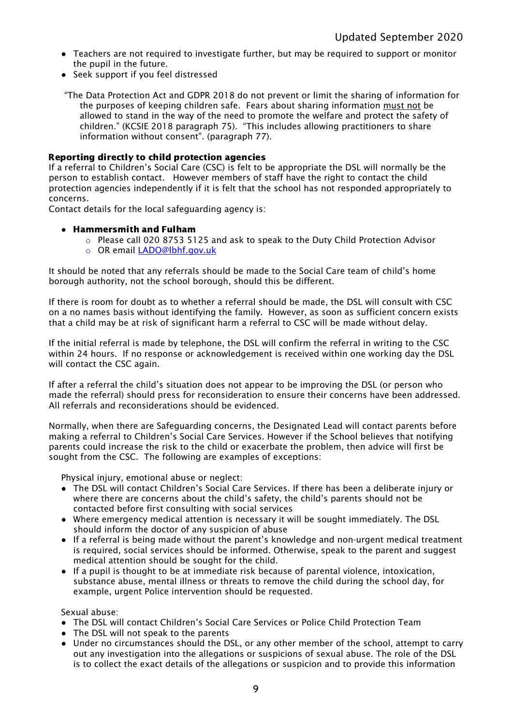- Teachers are not required to investigate further, but may be required to support or monitor the pupil in the future.
- Seek support if you feel distressed

"The Data Protection Act and GDPR 2018 do not prevent or limit the sharing of information for the purposes of keeping children safe. Fears about sharing information must not be allowed to stand in the way of the need to promote the welfare and protect the safety of children." (KCSIE 2018 paragraph 75). "This includes allowing practitioners to share information without consent". (paragraph 77).

#### Reporting directly to child protection agencies

If a referral to Children's Social Care (CSC) is felt to be appropriate the DSL will normally be the person to establish contact. However members of staff have the right to contact the child protection agencies independently if it is felt that the school has not responded appropriately to concerns.

Contact details for the local safeguarding agency is:

#### ● Hammersmith and Fulham

- $\circ$  Please call 020 8753 5125 and ask to speak to the Duty Child Protection Advisor
- o OR email [LADO@lbhf.gov.uk](mailto:LADO@lbhf.gov.uk)

It should be noted that any referrals should be made to the Social Care team of child's home borough authority, not the school borough, should this be different.

If there is room for doubt as to whether a referral should be made, the DSL will consult with CSC on a no names basis without identifying the family. However, as soon as sufficient concern exists that a child may be at risk of significant harm a referral to CSC will be made without delay.

If the initial referral is made by telephone, the DSL will confirm the referral in writing to the CSC within 24 hours. If no response or acknowledgement is received within one working day the DSL will contact the CSC again.

If after a referral the child's situation does not appear to be improving the DSL (or person who made the referral) should press for reconsideration to ensure their concerns have been addressed. All referrals and reconsiderations should be evidenced.

Normally, when there are Safeguarding concerns, the Designated Lead will contact parents before making a referral to Children's Social Care Services. However if the School believes that notifying parents could increase the risk to the child or exacerbate the problem, then advice will first be sought from the CSC. The following are examples of exceptions:

Physical injury, emotional abuse or neglect:

- The DSL will contact Children's Social Care Services. If there has been a deliberate injury or where there are concerns about the child's safety, the child's parents should not be contacted before first consulting with social services
- Where emergency medical attention is necessary it will be sought immediately. The DSL should inform the doctor of any suspicion of abuse
- If a referral is being made without the parent's knowledge and non-urgent medical treatment is required, social services should be informed. Otherwise, speak to the parent and suggest medical attention should be sought for the child.
- If a pupil is thought to be at immediate risk because of parental violence, intoxication, substance abuse, mental illness or threats to remove the child during the school day, for example, urgent Police intervention should be requested.

Sexual abuse:

- The DSL will contact Children's Social Care Services or Police Child Protection Team
- The DSL will not speak to the parents
- Under no circumstances should the DSL, or any other member of the school, attempt to carry out any investigation into the allegations or suspicions of sexual abuse. The role of the DSL is to collect the exact details of the allegations or suspicion and to provide this information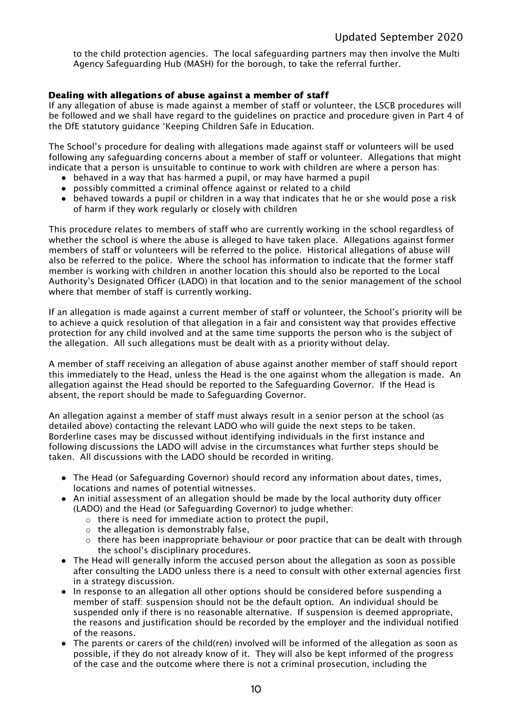to the child protection agencies. The local safeguarding partners may then involve the Multi Agency Safeguarding Hub (MASH) for the borough, to take the referral further.

## Dealing with allegations of abuse against a member of staff

If any allegation of abuse is made against a member of staff or volunteer, the LSCB procedures will be followed and we shall have regard to the guidelines on practice and procedure given in Part 4 of the DfE statutory guidance 'Keeping Children Safe in Education.

The School's procedure for dealing with allegations made against staff or volunteers will be used following any safeguarding concerns about a member of staff or volunteer. Allegations that might indicate that a person is unsuitable to continue to work with children are where a person has:

- behaved in a way that has harmed a pupil, or may have harmed a pupil
- possibly committed a criminal offence against or related to a child
- behaved towards a pupil or children in a way that indicates that he or she would pose a risk of harm if they work regularly or closely with children

This procedure relates to members of staff who are currently working in the school regardless of whether the school is where the abuse is alleged to have taken place. Allegations against former members of staff or volunteers will be referred to the police. Historical allegations of abuse will also be referred to the police. Where the school has information to indicate that the former staff member is working with children in another location this should also be reported to the Local Authority's Designated Officer (LADO) in that location and to the senior management of the school where that member of staff is currently working.

If an allegation is made against a current member of staff or volunteer, the School's priority will be to achieve a quick resolution of that allegation in a fair and consistent way that provides effective protection for any child involved and at the same time supports the person who is the subject of the allegation. All such allegations must be dealt with as a priority without delay.

A member of staff receiving an allegation of abuse against another member of staff should report this immediately to the Head, unless the Head is the one against whom the allegation is made. An allegation against the Head should be reported to the Safeguarding Governor. If the Head is absent, the report should be made to Safeguarding Governor.

An allegation against a member of staff must always result in a senior person at the school (as detailed above) contacting the relevant LADO who will guide the next steps to be taken. Borderline cases may be discussed without identifying individuals in the first instance and following discussions the LADO will advise in the circumstances what further steps should be taken. All discussions with the LADO should be recorded in writing.

- The Head (or Safeguarding Governor) should record any information about dates, times, locations and names of potential witnesses.
- An initial assessment of an allegation should be made by the local authority duty officer (LADO) and the Head (or Safeguarding Governor) to judge whether:
	- o there is need for immediate action to protect the pupil,
	- $\circ$  the allegation is demonstrably false,
	- o there has been inappropriate behaviour or poor practice that can be dealt with through the school's disciplinary procedures.
- The Head will generally inform the accused person about the allegation as soon as possible after consulting the LADO unless there is a need to consult with other external agencies first in a strategy discussion.
- In response to an allegation all other options should be considered before suspending a member of staff: suspension should not be the default option. An individual should be suspended only if there is no reasonable alternative. If suspension is deemed appropriate, the reasons and justification should be recorded by the employer and the individual notified of the reasons.
- The parents or carers of the child(ren) involved will be informed of the allegation as soon as possible, if they do not already know of it. They will also be kept informed of the progress of the case and the outcome where there is not a criminal prosecution, including the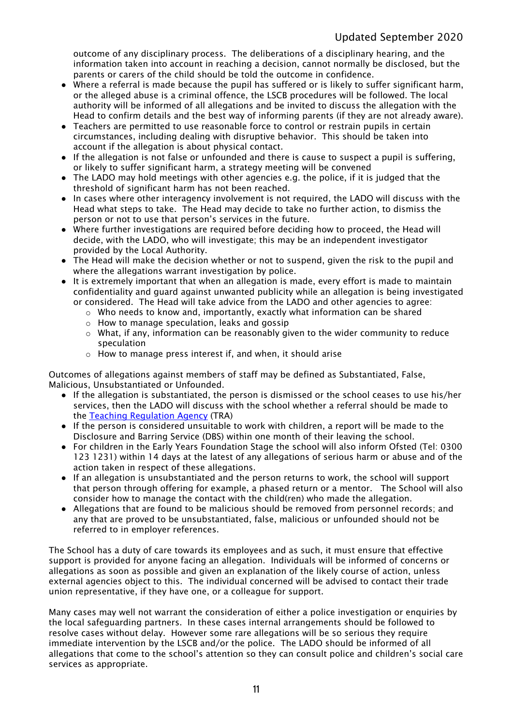outcome of any disciplinary process. The deliberations of a disciplinary hearing, and the information taken into account in reaching a decision, cannot normally be disclosed, but the parents or carers of the child should be told the outcome in confidence.

- Where a referral is made because the pupil has suffered or is likely to suffer significant harm, or the alleged abuse is a criminal offence, the LSCB procedures will be followed. The local authority will be informed of all allegations and be invited to discuss the allegation with the Head to confirm details and the best way of informing parents (if they are not already aware).
- Teachers are permitted to use reasonable force to control or restrain pupils in certain circumstances, including dealing with disruptive behavior. This should be taken into account if the allegation is about physical contact.
- If the allegation is not false or unfounded and there is cause to suspect a pupil is suffering, or likely to suffer significant harm, a strategy meeting will be convened
- The LADO may hold meetings with other agencies e.g. the police, if it is judged that the threshold of significant harm has not been reached.
- In cases where other interagency involvement is not required, the LADO will discuss with the Head what steps to take. The Head may decide to take no further action, to dismiss the person or not to use that person's services in the future.
- Where further investigations are required before deciding how to proceed, the Head will decide, with the LADO, who will investigate; this may be an independent investigator provided by the Local Authority.
- The Head will make the decision whether or not to suspend, given the risk to the pupil and where the allegations warrant investigation by police.
- It is extremely important that when an allegation is made, every effort is made to maintain confidentiality and guard against unwanted publicity while an allegation is being investigated or considered. The Head will take advice from the LADO and other agencies to agree:
	- $\circ$  Who needs to know and, importantly, exactly what information can be shared
	- o How to manage speculation, leaks and gossip
	- $\circ$  What, if any, information can be reasonably given to the wider community to reduce speculation
	- o How to manage press interest if, and when, it should arise

Outcomes of allegations against members of staff may be defined as Substantiated, False, Malicious, Unsubstantiated or Unfounded.

- If the allegation is substantiated, the person is dismissed or the school ceases to use his/her services, then the LADO will discuss with the school whether a referral should be made to the **[Teaching](http://en.wikipedia.org/wiki/National_College_for_Teaching_and_Leadership) Regulation Agency** (TRA)
- If the person is considered unsuitable to work with children, a report will be made to the Disclosure and Barring Service (DBS) within one month of their leaving the school.
- For children in the Early Years Foundation Stage the school will also inform Ofsted (Tel: 0300 123 1231) within 14 days at the latest of any allegations of serious harm or abuse and of the action taken in respect of these allegations.
- If an allegation is unsubstantiated and the person returns to work, the school will support that person through offering for example, a phased return or a mentor. The School will also consider how to manage the contact with the child(ren) who made the allegation.
- Allegations that are found to be malicious should be removed from personnel records; and any that are proved to be unsubstantiated, false, malicious or unfounded should not be referred to in employer references.

The School has a duty of care towards its employees and as such, it must ensure that effective support is provided for anyone facing an allegation. Individuals will be informed of concerns or allegations as soon as possible and given an explanation of the likely course of action, unless external agencies object to this. The individual concerned will be advised to contact their trade union representative, if they have one, or a colleague for support.

Many cases may well not warrant the consideration of either a police investigation or enquiries by the local safeguarding partners. In these cases internal arrangements should be followed to resolve cases without delay. However some rare allegations will be so serious they require immediate intervention by the LSCB and/or the police. The LADO should be informed of all allegations that come to the school's attention so they can consult police and children's social care services as appropriate.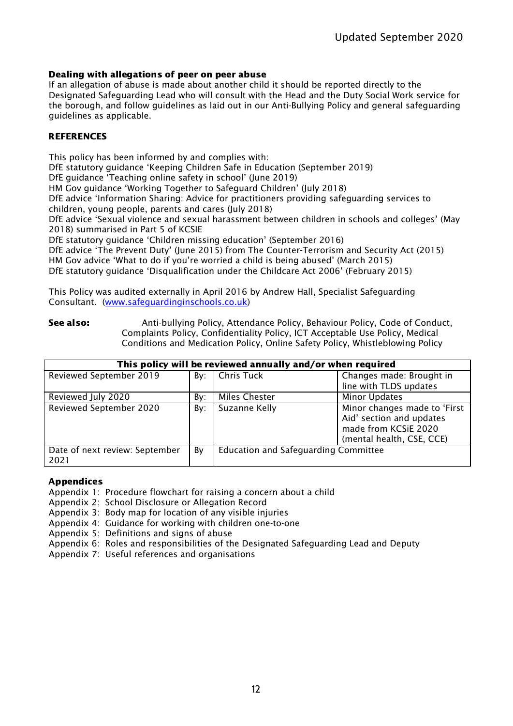# Dealing with allegations of peer on peer abuse

If an allegation of abuse is made about another child it should be reported directly to the Designated Safeguarding Lead who will consult with the Head and the Duty Social Work service for the borough, and follow guidelines as laid out in our Anti-Bullying Policy and general safeguarding guidelines as applicable.

#### **REFERENCES**

This policy has been informed by and complies with:

DfE statutory guidance 'Keeping Children Safe in Education (September 2019)

DfE guidance 'Teaching online safety in school' (June 2019)

HM Gov guidance 'Working Together to Safeguard Children' (July 2018)

DfE advice 'Information Sharing: Advice for practitioners providing safeguarding services to children, young people, parents and cares (July 2018)

DfE advice 'Sexual violence and sexual harassment between children in schools and colleges' (May 2018) summarised in Part 5 of KCSIE

DfE statutory guidance 'Children missing education' (September 2016)

DfE advice 'The Prevent Duty' (June 2015) from The Counter-Terrorism and Security Act (2015) HM Gov advice 'What to do if you're worried a child is being abused' (March 2015) DfE statutory guidance 'Disqualification under the Childcare Act 2006' (February 2015)

This Policy was audited externally in April 2016 by Andrew Hall, Specialist Safeguarding

Consultant. [\(www.safeguardinginschools.co.uk](http://www.safeguardinginschools.co.uk/))

See also: Anti-bullying Policy, Attendance Policy, Behaviour Policy, Code of Conduct, Complaints Policy, Confidentiality Policy, ICT Acceptable Use Policy, Medical Conditions and Medication Policy, Online Safety Policy, Whistleblowing Policy

| This policy will be reviewed annually and/or when required |     |                                             |                                                                                                               |  |
|------------------------------------------------------------|-----|---------------------------------------------|---------------------------------------------------------------------------------------------------------------|--|
| Reviewed September 2019                                    |     | By: Chris Tuck                              | Changes made: Brought in                                                                                      |  |
|                                                            |     |                                             | line with TLDS updates                                                                                        |  |
| Reviewed July 2020                                         | Bv: | <b>Miles Chester</b>                        | <b>Minor Updates</b>                                                                                          |  |
| Reviewed September 2020                                    | By: | Suzanne Kelly                               | Minor changes made to 'First<br>Aid' section and updates<br>made from KCSiE 2020<br>(mental health, CSE, CCE) |  |
| Date of next review: September<br>2021                     | By  | <b>Education and Safeguarding Committee</b> |                                                                                                               |  |

## Appendices

Appendix 1: Procedure flowchart for raising a concern about a child

Appendix 2: School Disclosure or Allegation Record

Appendix 3: Body map for location of any visible injuries

Appendix 4: Guidance for working with children one-to-one

Appendix 5: Definitions and signs of abuse

Appendix 6: Roles and responsibilities of the Designated Safeguarding Lead and Deputy

Appendix 7: Useful references and organisations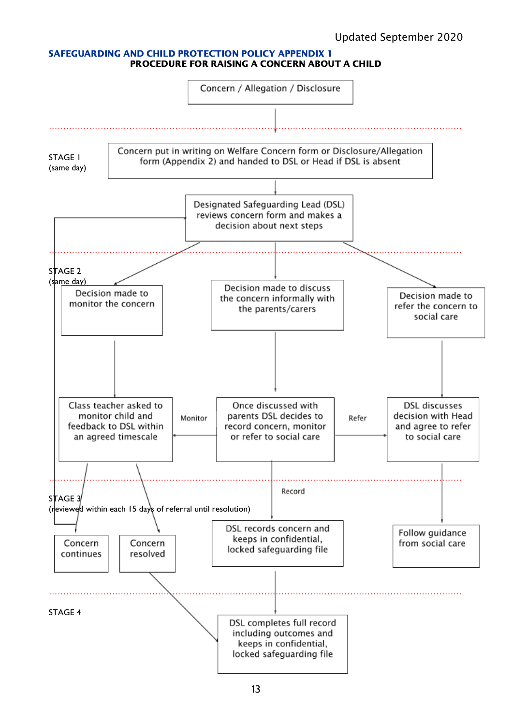#### SAFEGUARDING AND CHILD PROTECTION POLICY APPENDIX 1 PROCEDURE FOR RAISING A CONCERN ABOUT A CHILD

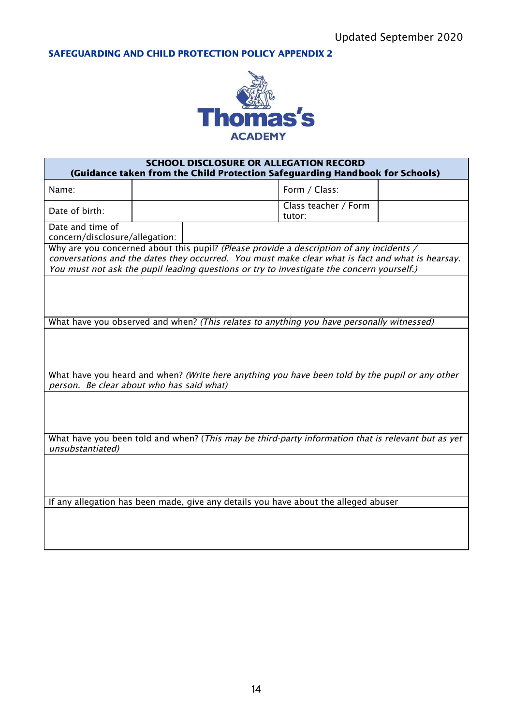SAFEGUARDING AND CHILD PROTECTION POLICY APPENDIX 2



| <b>SCHOOL DISCLOSURE OR ALLEGATION RECORD</b><br>(Guidance taken from the Child Protection Safeguarding Handbook for Schools)                                                                                                                                                             |  |  |                                |  |
|-------------------------------------------------------------------------------------------------------------------------------------------------------------------------------------------------------------------------------------------------------------------------------------------|--|--|--------------------------------|--|
| Name:                                                                                                                                                                                                                                                                                     |  |  | Form / Class:                  |  |
| Date of birth:                                                                                                                                                                                                                                                                            |  |  | Class teacher / Form<br>tutor: |  |
| Date and time of<br>concern/disclosure/allegation:                                                                                                                                                                                                                                        |  |  |                                |  |
| Why are you concerned about this pupil? (Please provide a description of any incidents /<br>conversations and the dates they occurred. You must make clear what is fact and what is hearsay.<br>You must not ask the pupil leading questions or try to investigate the concern yourself.) |  |  |                                |  |
|                                                                                                                                                                                                                                                                                           |  |  |                                |  |
| What have you observed and when? (This relates to anything you have personally witnessed)                                                                                                                                                                                                 |  |  |                                |  |
|                                                                                                                                                                                                                                                                                           |  |  |                                |  |
| What have you heard and when? (Write here anything you have been told by the pupil or any other<br>person. Be clear about who has said what)                                                                                                                                              |  |  |                                |  |
|                                                                                                                                                                                                                                                                                           |  |  |                                |  |
| What have you been told and when? (This may be third-party information that is relevant but as yet<br>unsubstantiated)                                                                                                                                                                    |  |  |                                |  |
|                                                                                                                                                                                                                                                                                           |  |  |                                |  |
| If any allegation has been made, give any details you have about the alleged abuser                                                                                                                                                                                                       |  |  |                                |  |
|                                                                                                                                                                                                                                                                                           |  |  |                                |  |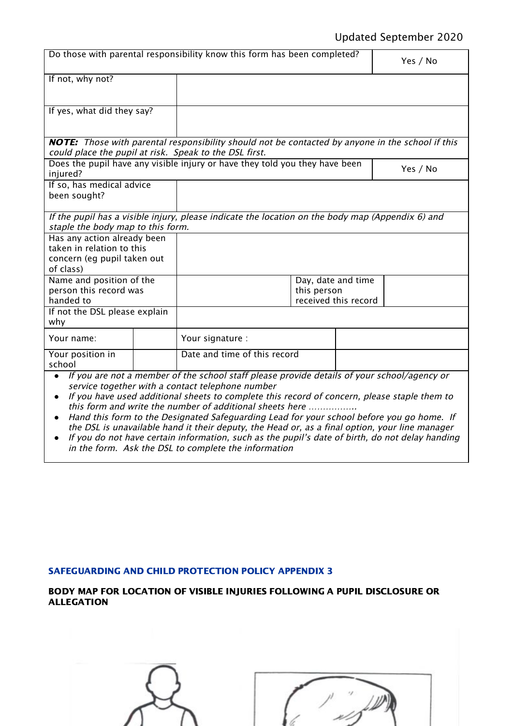# Updated September 2020

|                                                                                                                                                                   |  | Do those with parental responsibility know this form has been completed?                                                                                                                                                                                                                                                                                                                                                                                                                                                                                                                                      |  |  | Yes / No |
|-------------------------------------------------------------------------------------------------------------------------------------------------------------------|--|---------------------------------------------------------------------------------------------------------------------------------------------------------------------------------------------------------------------------------------------------------------------------------------------------------------------------------------------------------------------------------------------------------------------------------------------------------------------------------------------------------------------------------------------------------------------------------------------------------------|--|--|----------|
| If not, why not?                                                                                                                                                  |  |                                                                                                                                                                                                                                                                                                                                                                                                                                                                                                                                                                                                               |  |  |          |
| If yes, what did they say?                                                                                                                                        |  |                                                                                                                                                                                                                                                                                                                                                                                                                                                                                                                                                                                                               |  |  |          |
| <b>NOTE:</b> Those with parental responsibility should not be contacted by anyone in the school if this<br>could place the pupil at risk. Speak to the DSL first. |  |                                                                                                                                                                                                                                                                                                                                                                                                                                                                                                                                                                                                               |  |  |          |
| injured?                                                                                                                                                          |  | Does the pupil have any visible injury or have they told you they have been                                                                                                                                                                                                                                                                                                                                                                                                                                                                                                                                   |  |  | Yes / No |
| If so, has medical advice<br>been sought?                                                                                                                         |  |                                                                                                                                                                                                                                                                                                                                                                                                                                                                                                                                                                                                               |  |  |          |
| If the pupil has a visible injury, please indicate the location on the body map (Appendix $6$ ) and<br>staple the body map to this form.                          |  |                                                                                                                                                                                                                                                                                                                                                                                                                                                                                                                                                                                                               |  |  |          |
| Has any action already been<br>taken in relation to this<br>concern (eg pupil taken out<br>of class)                                                              |  |                                                                                                                                                                                                                                                                                                                                                                                                                                                                                                                                                                                                               |  |  |          |
| Name and position of the<br>person this record was<br>handed to                                                                                                   |  | Day, date and time<br>this person<br>received this record                                                                                                                                                                                                                                                                                                                                                                                                                                                                                                                                                     |  |  |          |
| If not the DSL please explain<br>why                                                                                                                              |  |                                                                                                                                                                                                                                                                                                                                                                                                                                                                                                                                                                                                               |  |  |          |
| Your name:                                                                                                                                                        |  | Your signature :                                                                                                                                                                                                                                                                                                                                                                                                                                                                                                                                                                                              |  |  |          |
| Your position in<br>school                                                                                                                                        |  | Date and time of this record                                                                                                                                                                                                                                                                                                                                                                                                                                                                                                                                                                                  |  |  |          |
| $\bullet$                                                                                                                                                         |  | If you are not a member of the school staff please provide details of your school/agency or<br>service together with a contact telephone number<br>If you have used additional sheets to complete this record of concern, please staple them to<br>this form and write the number of additional sheets here<br>Hand this form to the Designated Safeguarding Lead for your school before you go home. If<br>the DSL is unavailable hand it their deputy, the Head or, as a final option, your line manager<br>If you do not have certain information, such as the pupil's date of birth, do not delay handing |  |  |          |

in the form. Ask the DSL to complete the information

# SAFEGUARDING AND CHILD PROTECTION POLICY APPENDIX 3

# BODY MAP FOR LOCATION OF VISIBLE INJURIES FOLLOWING A PUPIL DISCLOSURE OR ALLEGATION

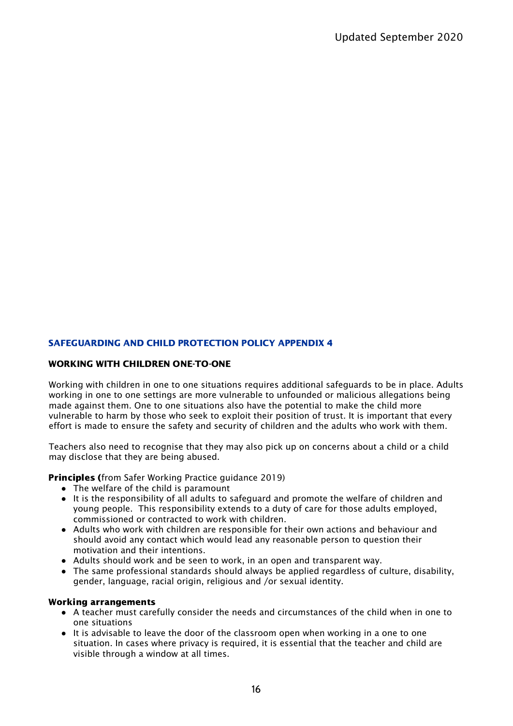# SAFEGUARDING AND CHILD PROTECTION POLICY APPENDIX 4

#### WORKING WITH CHILDREN ONE-TO-ONE

Working with children in one to one situations requires additional safeguards to be in place. Adults working in one to one settings are more vulnerable to unfounded or malicious allegations being made against them. One to one situations also have the potential to make the child more vulnerable to harm by those who seek to exploit their position of trust. It is important that every effort is made to ensure the safety and security of children and the adults who work with them.

Teachers also need to recognise that they may also pick up on concerns about a child or a child may disclose that they are being abused.

Principles (from Safer Working Practice guidance 2019)

- The welfare of the child is paramount
- It is the responsibility of all adults to safeguard and promote the welfare of children and young people. This responsibility extends to a duty of care for those adults employed, commissioned or contracted to work with children.
- Adults who work with children are responsible for their own actions and behaviour and should avoid any contact which would lead any reasonable person to question their motivation and their intentions.
- Adults should work and be seen to work, in an open and transparent way.
- The same professional standards should always be applied regardless of culture, disability, gender, language, racial origin, religious and /or sexual identity.

#### Working arrangements

- A teacher must carefully consider the needs and circumstances of the child when in one to one situations
- It is advisable to leave the door of the classroom open when working in a one to one situation. In cases where privacy is required, it is essential that the teacher and child are visible through a window at all times.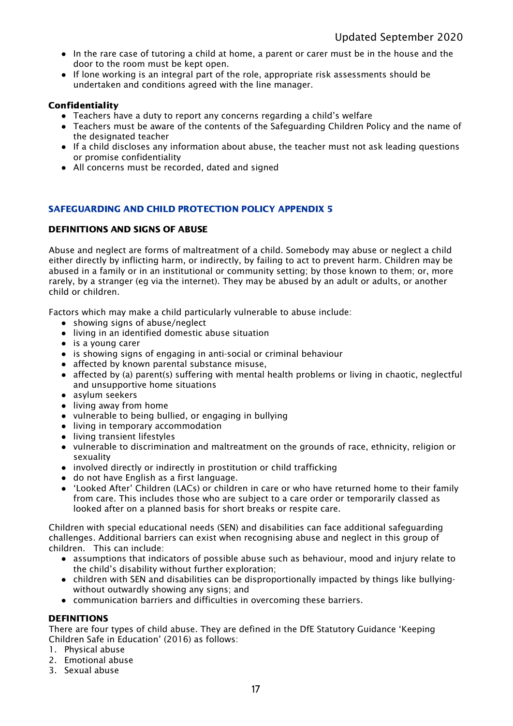- In the rare case of tutoring a child at home, a parent or carer must be in the house and the door to the room must be kept open.
- If lone working is an integral part of the role, appropriate risk assessments should be undertaken and conditions agreed with the line manager.

## Confidentiality

- Teachers have a duty to report any concerns regarding a child's welfare
- Teachers must be aware of the contents of the Safeguarding Children Policy and the name of the designated teacher
- If a child discloses any information about abuse, the teacher must not ask leading questions or promise confidentiality
- **●** All concerns must be recorded, dated and signed

# SAFEGUARDING AND CHILD PROTECTION POLICY APPENDIX 5

## DEFINITIONS AND SIGNS OF ABUSE

Abuse and neglect are forms of maltreatment of a child. Somebody may abuse or neglect a child either directly by inflicting harm, or indirectly, by failing to act to prevent harm. Children may be abused in a family or in an institutional or community setting; by those known to them; or, more rarely, by a stranger (eg via the internet). They may be abused by an adult or adults, or another child or children.

Factors which may make a child particularly vulnerable to abuse include:

- showing signs of abuse/neglect
- living in an identified domestic abuse situation
- is a young carer
- is showing signs of engaging in anti-social or criminal behaviour
- affected by known parental substance misuse,
- affected by (a) parent(s) suffering with mental health problems or living in chaotic, neglectful and unsupportive home situations
- asylum seekers
- living away from home
- vulnerable to being bullied, or engaging in bullying
- living in temporary accommodation
- living transient lifestyles
- vulnerable to discrimination and maltreatment on the grounds of race, ethnicity, religion or sexuality
- involved directly or indirectly in prostitution or child trafficking
- do not have English as a first language.
- 'Looked After' Children (LACs) or children in care or who have returned home to their family from care. This includes those who are subject to a care order or temporarily classed as looked after on a planned basis for short breaks or respite care.

Children with special educational needs (SEN) and disabilities can face additional safeguarding challenges. Additional barriers can exist when recognising abuse and neglect in this group of children. This can include:

- assumptions that indicators of possible abuse such as behaviour, mood and injury relate to the child's disability without further exploration;
- children with SEN and disabilities can be disproportionally impacted by things like bullyingwithout outwardly showing any signs; and
- communication barriers and difficulties in overcoming these barriers.

#### DEFINITIONS

There are four types of child abuse. They are defined in the DfE Statutory Guidance 'Keeping Children Safe in Education' (2016) as follows:

- 1. Physical abuse
- 2. Emotional abuse
- 3. Sexual abuse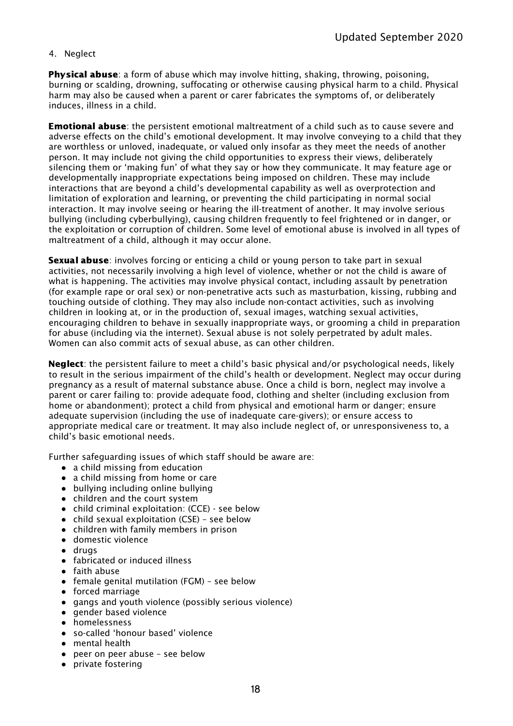## 4. Neglect

**Physical abuse**: a form of abuse which may involve hitting, shaking, throwing, poisoning, burning or scalding, drowning, suffocating or otherwise causing physical harm to a child. Physical harm may also be caused when a parent or carer fabricates the symptoms of, or deliberately induces, illness in a child.

**Emotional abuse**: the persistent emotional maltreatment of a child such as to cause severe and adverse effects on the child's emotional development. It may involve conveying to a child that they are worthless or unloved, inadequate, or valued only insofar as they meet the needs of another person. It may include not giving the child opportunities to express their views, deliberately silencing them or 'making fun' of what they say or how they communicate. It may feature age or developmentally inappropriate expectations being imposed on children. These may include interactions that are beyond a child's developmental capability as well as overprotection and limitation of exploration and learning, or preventing the child participating in normal social interaction. It may involve seeing or hearing the ill-treatment of another. It may involve serious bullying (including cyberbullying), causing children frequently to feel frightened or in danger, or the exploitation or corruption of children. Some level of emotional abuse is involved in all types of maltreatment of a child, although it may occur alone.

**Sexual abuse**: involves forcing or enticing a child or young person to take part in sexual activities, not necessarily involving a high level of violence, whether or not the child is aware of what is happening. The activities may involve physical contact, including assault by penetration (for example rape or oral sex) or non-penetrative acts such as masturbation, kissing, rubbing and touching outside of clothing. They may also include non-contact activities, such as involving children in looking at, or in the production of, sexual images, watching sexual activities, encouraging children to behave in sexually inappropriate ways, or grooming a child in preparation for abuse (including via the internet). Sexual abuse is not solely perpetrated by adult males. Women can also commit acts of sexual abuse, as can other children.

Neglect: the persistent failure to meet a child's basic physical and/or psychological needs, likely to result in the serious impairment of the child's health or development. Neglect may occur during pregnancy as a result of maternal substance abuse. Once a child is born, neglect may involve a parent or carer failing to: provide adequate food, clothing and shelter (including exclusion from home or abandonment); protect a child from physical and emotional harm or danger; ensure adequate supervision (including the use of inadequate care-givers); or ensure access to appropriate medical care or treatment. It may also include neglect of, or unresponsiveness to, a child's basic emotional needs.

Further safeguarding issues of which staff should be aware are:

- a child missing from education
- a child missing from home or care
- bullying including online bullying
- children and the court system
- child criminal exploitation: (CCE) see below
- child sexual exploitation (CSE) see below
- children with family members in prison
- domestic violence
- drugs
- fabricated or induced illness
- faith abuse
- female genital mutilation (FGM) see below
- forced marriage
- gangs and youth violence (possibly serious violence)
- gender based violence
- homelessness
- so-called 'honour based' violence
- mental health
- peer on peer abuse see below
- private fostering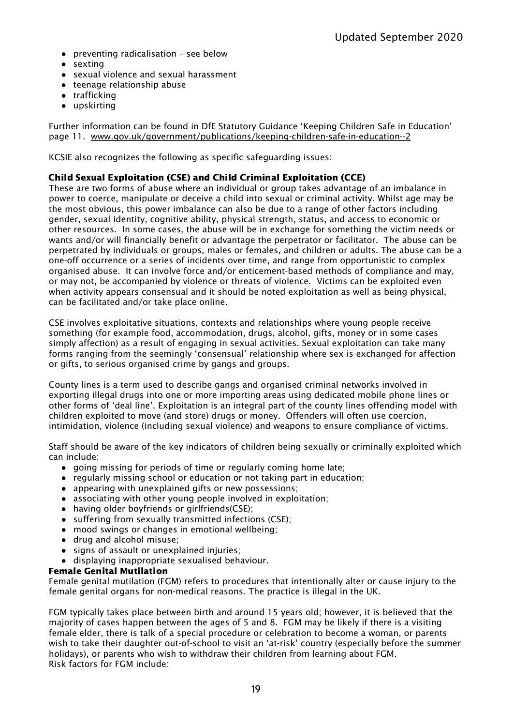- preventing radicalisation see below
- sexting
- sexual violence and sexual harassment
- teenage relationship abuse
- trafficking
- upskirting

Further information can be found in DfE Statutory Guidance 'Keeping Children Safe in Education' page 11. [www.gov.uk/government/publications/keeping-children-safe-in-education--2](http://www.gov.uk/government/publications/keeping-children-safe-in-education--2)

KCSIE also recognizes the following as specific safeguarding issues:

# Child Sexual Exploitation (CSE) and Child Criminal Exploitation (CCE)

These are two forms of abuse where an individual or group takes advantage of an imbalance in power to coerce, manipulate or deceive a child into sexual or criminal activity. Whilst age may be the most obvious, this power imbalance can also be due to a range of other factors including gender, sexual identity, cognitive ability, physical strength, status, and access to economic or other resources. In some cases, the abuse will be in exchange for something the victim needs or wants and/or will financially benefit or advantage the perpetrator or facilitator. The abuse can be perpetrated by individuals or groups, males or females, and children or adults. The abuse can be a one-off occurrence or a series of incidents over time, and range from opportunistic to complex organised abuse. It can involve force and/or enticement-based methods of compliance and may, or may not, be accompanied by violence or threats of violence. Victims can be exploited even when activity appears consensual and it should be noted exploitation as well as being physical, can be facilitated and/or take place online.

CSE involves exploitative situations, contexts and relationships where young people receive something (for example food, accommodation, drugs, alcohol, gifts, money or in some cases simply affection) as a result of engaging in sexual activities. Sexual exploitation can take many forms ranging from the seemingly 'consensual' relationship where sex is exchanged for affection or gifts, to serious organised crime by gangs and groups.

County lines is a term used to describe gangs and organised criminal networks involved in exporting illegal drugs into one or more importing areas using dedicated mobile phone lines or other forms of 'deal line'. Exploitation is an integral part of the county lines offending model with children exploited to move (and store) drugs or money. Offenders will often use coercion, intimidation, violence (including sexual violence) and weapons to ensure compliance of victims.

Staff should be aware of the key indicators of children being sexually or criminally exploited which can include:

- going missing for periods of time or regularly coming home late;
- regularly missing school or education or not taking part in education;
- appearing with unexplained gifts or new possessions;
- associating with other young people involved in exploitation;
- having older boyfriends or girlfriends(CSE);
- suffering from sexually transmitted infections (CSE);
- mood swings or changes in emotional wellbeing;
- drug and alcohol misuse;
- signs of assault or unexplained injuries;
- displaying inappropriate sexualised behaviour.

#### Female Genital Mutilation

Female genital mutilation (FGM) refers to procedures that intentionally alter or cause injury to the female genital organs for non-medical reasons. The practice is illegal in the UK.

FGM typically takes place between birth and around 15 years old; however, it is believed that the majority of cases happen between the ages of 5 and 8. FGM may be likely if there is a visiting female elder, there is talk of a special procedure or celebration to become a woman, or parents wish to take their daughter out-of-school to visit an 'at-risk' country (especially before the summer holidays), or parents who wish to withdraw their children from learning about FGM. Risk factors for FGM include: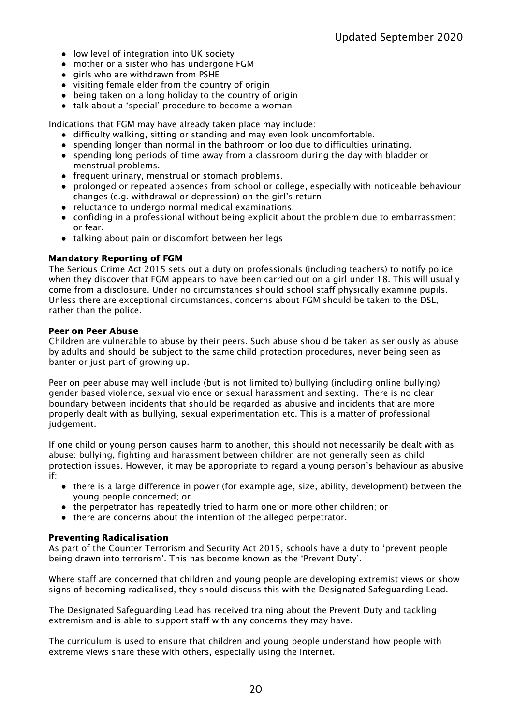- low level of integration into UK society
- mother or a sister who has undergone FGM
- girls who are withdrawn from PSHE
- visiting female elder from the country of origin
- being taken on a long holiday to the country of origin
- talk about a 'special' procedure to become a woman

Indications that FGM may have already taken place may include:

- difficulty walking, sitting or standing and may even look uncomfortable.
- spending longer than normal in the bathroom or loo due to difficulties urinating.
- spending long periods of time away from a classroom during the day with bladder or menstrual problems.
- frequent urinary, menstrual or stomach problems.
- prolonged or repeated absences from school or college, especially with noticeable behaviour changes (e.g. withdrawal or depression) on the girl's return
- reluctance to undergo normal medical examinations.
- confiding in a professional without being explicit about the problem due to embarrassment or fear.
- talking about pain or discomfort between her legs

## Mandatory Reporting of FGM

The Serious Crime Act 2015 sets out a duty on professionals (including teachers) to notify police when they discover that FGM appears to have been carried out on a girl under 18. This will usually come from a disclosure. Under no circumstances should school staff physically examine pupils. Unless there are exceptional circumstances, concerns about FGM should be taken to the DSL, rather than the police.

#### Peer on Peer Abuse

Children are vulnerable to abuse by their peers. Such abuse should be taken as seriously as abuse by adults and should be subject to the same child protection procedures, never being seen as banter or just part of growing up.

Peer on peer abuse may well include (but is not limited to) bullying (including online bullying) gender based violence, sexual violence or sexual harassment and sexting. There is no clear boundary between incidents that should be regarded as abusive and incidents that are more properly dealt with as bullying, sexual experimentation etc. This is a matter of professional judgement.

If one child or young person causes harm to another, this should not necessarily be dealt with as abuse: bullying, fighting and harassment between children are not generally seen as child protection issues. However, it may be appropriate to regard a young person's behaviour as abusive if:

- there is a large difference in power (for example age, size, ability, development) between the young people concerned; or
- the perpetrator has repeatedly tried to harm one or more other children; or
- there are concerns about the intention of the alleged perpetrator.

# Preventing Radicalisation

As part of the Counter Terrorism and Security Act 2015, schools have a duty to 'prevent people being drawn into terrorism'. This has become known as the 'Prevent Duty'.

Where staff are concerned that children and young people are developing extremist views or show signs of becoming radicalised, they should discuss this with the Designated Safeguarding Lead.

The Designated Safeguarding Lead has received training about the Prevent Duty and tackling extremism and is able to support staff with any concerns they may have.

The curriculum is used to ensure that children and young people understand how people with extreme views share these with others, especially using the internet.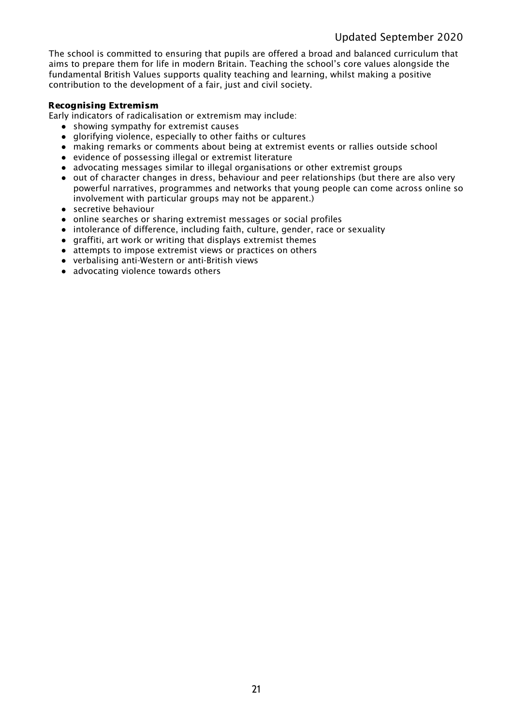The school is committed to ensuring that pupils are offered a broad and balanced curriculum that aims to prepare them for life in modern Britain. Teaching the school's core values alongside the fundamental British Values supports quality teaching and learning, whilst making a positive contribution to the development of a fair, just and civil society.

## Recognising Extremism

Early indicators of radicalisation or extremism may include:

- showing sympathy for extremist causes
- glorifying violence, especially to other faiths or cultures
- making remarks or comments about being at extremist events or rallies outside school
- evidence of possessing illegal or extremist literature
- advocating messages similar to illegal organisations or other extremist groups
- out of character changes in dress, behaviour and peer relationships (but there are also very powerful narratives, programmes and networks that young people can come across online so involvement with particular groups may not be apparent.)
- secretive behaviour
- online searches or sharing extremist messages or social profiles
- intolerance of difference, including faith, culture, gender, race or sexuality
- graffiti, art work or writing that displays extremist themes
- attempts to impose extremist views or practices on others
- verbalising anti-Western or anti-British views
- advocating violence towards others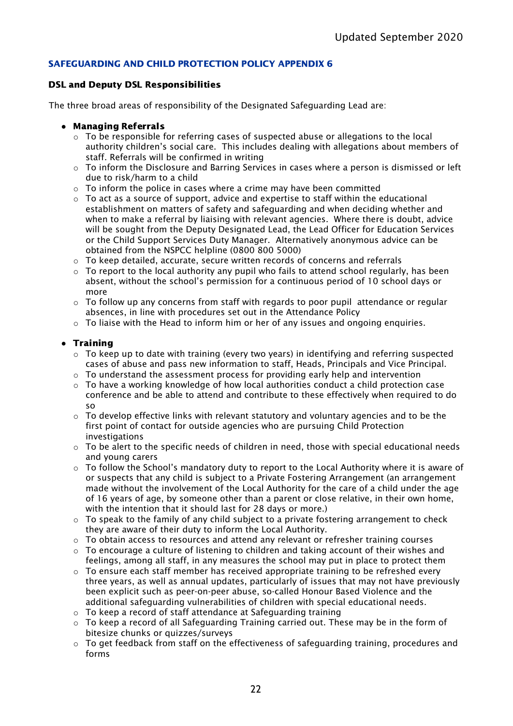# SAFEGUARDING AND CHILD PROTECTION POLICY APPENDIX 6

## DSL and Deputy DSL Responsibilities

The three broad areas of responsibility of the Designated Safeguarding Lead are:

- **●** Managing Referrals
	- $\circ$  To be responsible for referring cases of suspected abuse or allegations to the local authority children's social care. This includes dealing with allegations about members of staff. Referrals will be confirmed in writing
	- o To inform the Disclosure and Barring Services in cases where a person is dismissed or left due to risk/harm to a child
	- $\circ$  To inform the police in cases where a crime may have been committed
	- $\circ$  To act as a source of support, advice and expertise to staff within the educational establishment on matters of safety and safeguarding and when deciding whether and when to make a referral by liaising with relevant agencies. Where there is doubt, advice will be sought from the Deputy Designated Lead, the Lead Officer for Education Services or the Child Support Services Duty Manager. Alternatively anonymous advice can be obtained from the NSPCC helpline (0800 800 5000)
	- $\circ$  To keep detailed, accurate, secure written records of concerns and referrals
	- $\circ$  To report to the local authority any pupil who fails to attend school regularly, has been absent, without the school's permission for a continuous period of 10 school days or more
	- $\circ$  To follow up any concerns from staff with regards to poor pupil attendance or regular absences, in line with procedures set out in the Attendance Policy
	- $\circ$  To liaise with the Head to inform him or her of any issues and ongoing enguiries.

# **●** Training

- $\circ$  To keep up to date with training (every two years) in identifying and referring suspected cases of abuse and pass new information to staff, Heads, Principals and Vice Principal.
- $\circ$  To understand the assessment process for providing early help and intervention
- $\circ$  To have a working knowledge of how local authorities conduct a child protection case conference and be able to attend and contribute to these effectively when required to do so
- $\circ$  To develop effective links with relevant statutory and voluntary agencies and to be the first point of contact for outside agencies who are pursuing Child Protection investigations
- $\circ$  To be alert to the specific needs of children in need, those with special educational needs and young carers
- $\circ$  To follow the School's mandatory duty to report to the Local Authority where it is aware of or suspects that any child is subject to a Private Fostering Arrangement (an arrangement made without the involvement of the Local Authority for the care of a child under the age of 16 years of age, by someone other than a parent or close relative, in their own home, with the intention that it should last for 28 days or more.)
- $\circ$  To speak to the family of any child subject to a private fostering arrangement to check they are aware of their duty to inform the Local Authority.
- $\circ$  To obtain access to resources and attend any relevant or refresher training courses
- $\circ$  To encourage a culture of listening to children and taking account of their wishes and feelings, among all staff, in any measures the school may put in place to protect them
- $\circ$  To ensure each staff member has received appropriate training to be refreshed every three years, as well as annual updates, particularly of issues that may not have previously been explicit such as peer-on-peer abuse, so-called Honour Based Violence and the additional safeguarding vulnerabilities of children with special educational needs.
- o To keep a record of staff attendance at Safeguarding training
- $\circ$  To keep a record of all Safeguarding Training carried out. These may be in the form of bitesize chunks or quizzes/surveys
- o To get feedback from staff on the effectiveness of safeguarding training, procedures and forms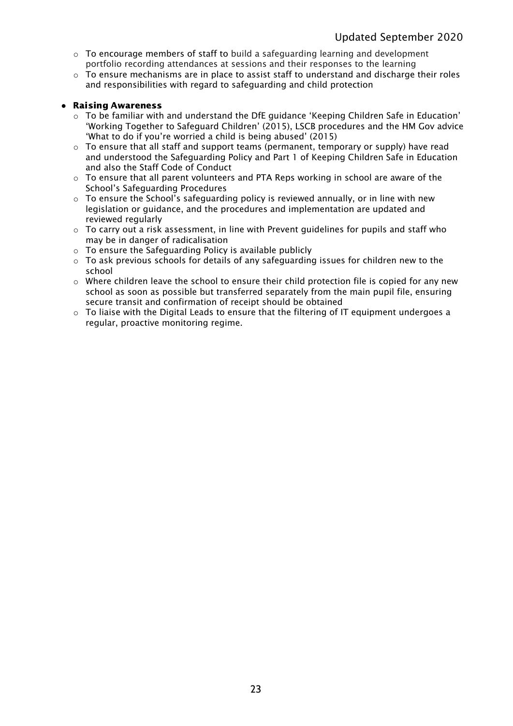- $\circ$  To encourage members of staff to build a safeguarding learning and development portfolio recording attendances at sessions and their responses to the learning
- $\circ$  To ensure mechanisms are in place to assist staff to understand and discharge their roles and responsibilities with regard to safeguarding and child protection

## **●** Raising Awareness

- $\circ$  To be familiar with and understand the DfE guidance 'Keeping Children Safe in Education' 'Working Together to Safeguard Children' (2015), LSCB procedures and the HM Gov advice 'What to do if you're worried a child is being abused' (2015)
- $\circ$  To ensure that all staff and support teams (permanent, temporary or supply) have read and understood the Safeguarding Policy and Part 1 of Keeping Children Safe in Education and also the Staff Code of Conduct
- $\circ$  To ensure that all parent volunteers and PTA Reps working in school are aware of the School's Safeguarding Procedures
- $\circ$  To ensure the School's safeguarding policy is reviewed annually, or in line with new legislation or guidance, and the procedures and implementation are updated and reviewed regularly
- $\circ$  To carry out a risk assessment, in line with Prevent quidelines for pupils and staff who may be in danger of radicalisation
- o To ensure the Safeguarding Policy is available publicly
- o To ask previous schools for details of any safeguarding issues for children new to the school
- o Where children leave the school to ensure their child protection file is copied for any new school as soon as possible but transferred separately from the main pupil file, ensuring secure transit and confirmation of receipt should be obtained
- o To liaise with the Digital Leads to ensure that the filtering of IT equipment undergoes a regular, proactive monitoring regime.